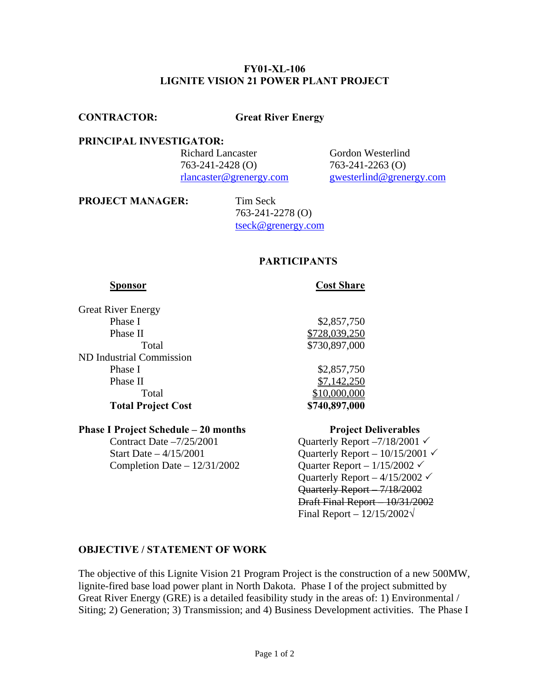### **FY01-XL-106 LIGNITE VISION 21 POWER PLANT PROJECT**

**CONTRACTOR: Great River Energy**

### **PRINCIPAL INVESTIGATOR:**

**Richard Lancaster Gordon Westerlind** 763-241-2428 (O) 763-241-2263 (O)

[rlancaster@grenergy.com](mailto:rlancaster@grenergy.com) [gwesterlind@grenergy.com](mailto:gwesterlind@grenergy.com)

**PROJECT MANAGER:** Tim Seck

 763-241-2278 (O) [tseck@grenergy.com](mailto:tseck@grenergy.com)

# **PARTICIPANTS**

### **Sponsor** Cost Share

Great River Energy Phase I \$2,857,750 Phase II \$728,039,250 ND Industrial Commission Phase I \$2,857,750 Phase II  $\frac{$7,142,250}{ }$ **Total Project Cost \$740,897,000** 

Total \$730,897,000 Total \$10,000,000

# **Phase I Project Schedule – 20 months Project Deliverables** Contract Date  $-7/25/2001$  Quarterly Report  $-7/18/2001 \checkmark$

Completion Date –  $12/31/2002$  Quarter Report –  $1/15/2002 \checkmark$ 

Start Date  $-4/15/2001$  Quarterly Report  $-10/15/2001 \checkmark$ Quarterly Report  $-4/15/2002 \checkmark$  Quarterly Report – 7/18/2002 Draft Final Report – 10/31/2002 Final Report – 12/15/2002**√**

### **OBJECTIVE / STATEMENT OF WORK**

The objective of this Lignite Vision 21 Program Project is the construction of a new 500MW, lignite-fired base load power plant in North Dakota. Phase I of the project submitted by Great River Energy (GRE) is a detailed feasibility study in the areas of: 1) Environmental / Siting; 2) Generation; 3) Transmission; and 4) Business Development activities. The Phase I